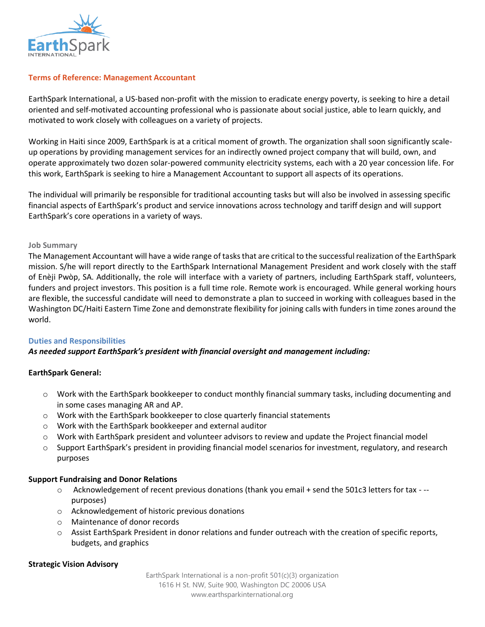

### **Terms of Reference: Management Accountant**

EarthSpark International, a US-based non-profit with the mission to eradicate energy poverty, is seeking to hire a detail oriented and self-motivated accounting professional who is passionate about social justice, able to learn quickly, and motivated to work closely with colleagues on a variety of projects.

Working in Haiti since 2009, EarthSpark is at a critical moment of growth. The organization shall soon significantly scaleup operations by providing management services for an indirectly owned project company that will build, own, and operate approximately two dozen solar-powered community electricity systems, each with a 20 year concession life. For this work, EarthSpark is seeking to hire a Management Accountant to support all aspects of its operations.

The individual will primarily be responsible for traditional accounting tasks but will also be involved in assessing specific financial aspects of EarthSpark's product and service innovations across technology and tariff design and will support EarthSpark's core operations in a variety of ways.

### **Job Summary**

The Management Accountant will have a wide range of tasks that are critical to the successful realization of the EarthSpark mission. S/he will report directly to the EarthSpark International Management President and work closely with the staff of Enèji Pwòp, SA. Additionally, the role will interface with a variety of partners, including EarthSpark staff, volunteers, funders and project investors. This position is a full time role. Remote work is encouraged. While general working hours are flexible, the successful candidate will need to demonstrate a plan to succeed in working with colleagues based in the Washington DC/Haiti Eastern Time Zone and demonstrate flexibility for joining calls with funders in time zones around the world.

### **Duties and Responsibilities**

### *As needed support EarthSpark's president with financial oversight and management including:*

### **EarthSpark General:**

- o Work with the EarthSpark bookkeeper to conduct monthly financial summary tasks, including documenting and in some cases managing AR and AP.
- o Work with the EarthSpark bookkeeper to close quarterly financial statements
- o Work with the EarthSpark bookkeeper and external auditor
- $\circ$  Work with EarthSpark president and volunteer advisors to review and update the Project financial model
- $\circ$  Support EarthSpark's president in providing financial model scenarios for investment, regulatory, and research purposes

### **Support Fundraising and Donor Relations**

- o Acknowledgement of recent previous donations (thank you email + send the 501c3 letters for tax - purposes)
- o Acknowledgement of historic previous donations
- o Maintenance of donor records
- $\circ$  Assist EarthSpark President in donor relations and funder outreach with the creation of specific reports, budgets, and graphics

### **Strategic Vision Advisory**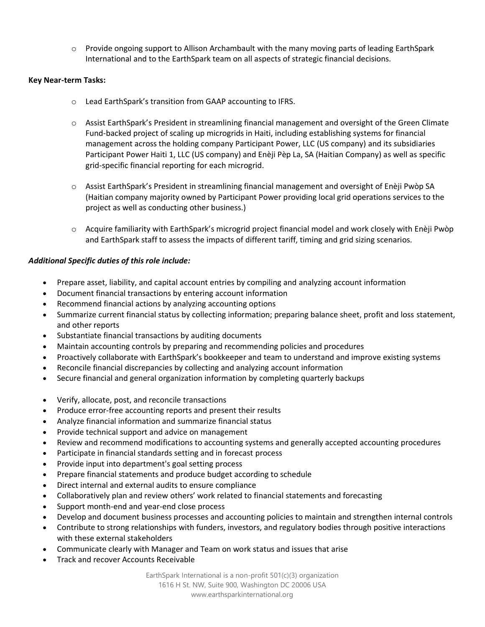o Provide ongoing support to Allison Archambault with the many moving parts of leading EarthSpark International and to the EarthSpark team on all aspects of strategic financial decisions.

## **Key Near-term Tasks:**

- o Lead EarthSpark's transition from GAAP accounting to IFRS.
- $\circ$  Assist EarthSpark's President in streamlining financial management and oversight of the Green Climate Fund-backed project of scaling up microgrids in Haiti, including establishing systems for financial management across the holding company Participant Power, LLC (US company) and its subsidiaries Participant Power Haiti 1, LLC (US company) and Enèji Pèp La, SA (Haitian Company) as well as specific grid-specific financial reporting for each microgrid.
- o Assist EarthSpark's President in streamlining financial management and oversight of Enèji Pwòp SA (Haitian company majority owned by Participant Power providing local grid operations services to the project as well as conducting other business.)
- o Acquire familiarity with EarthSpark's microgrid project financial model and work closely with Enèji Pwòp and EarthSpark staff to assess the impacts of different tariff, timing and grid sizing scenarios.

## *Additional Specific duties of this role include:*

- Prepare asset, liability, and capital account entries by compiling and analyzing account information
- Document financial transactions by entering account information
- Recommend financial actions by analyzing accounting options
- Summarize current financial status by collecting information; preparing balance sheet, profit and loss statement, and other reports
- Substantiate financial transactions by auditing documents
- Maintain accounting controls by preparing and recommending policies and procedures
- Proactively collaborate with EarthSpark's bookkeeper and team to understand and improve existing systems
- Reconcile financial discrepancies by collecting and analyzing account information
- Secure financial and general organization information by completing quarterly backups
- Verify, allocate, post, and reconcile transactions
- Produce error-free accounting reports and present their results
- Analyze financial information and summarize financial status
- Provide technical support and advice on management
- Review and recommend modifications to accounting systems and generally accepted accounting procedures
- Participate in financial standards setting and in forecast process
- Provide input into department's goal setting process
- Prepare financial statements and produce budget according to schedule
- Direct internal and external audits to ensure compliance
- Collaboratively plan and review others' work related to financial statements and forecasting
- Support month-end and year-end close process
- Develop and document business processes and accounting policies to maintain and strengthen internal controls
- Contribute to strong relationships with funders, investors, and regulatory bodies through positive interactions with these external stakeholders
- Communicate clearly with Manager and Team on work status and issues that arise
- Track and recover Accounts Receivable